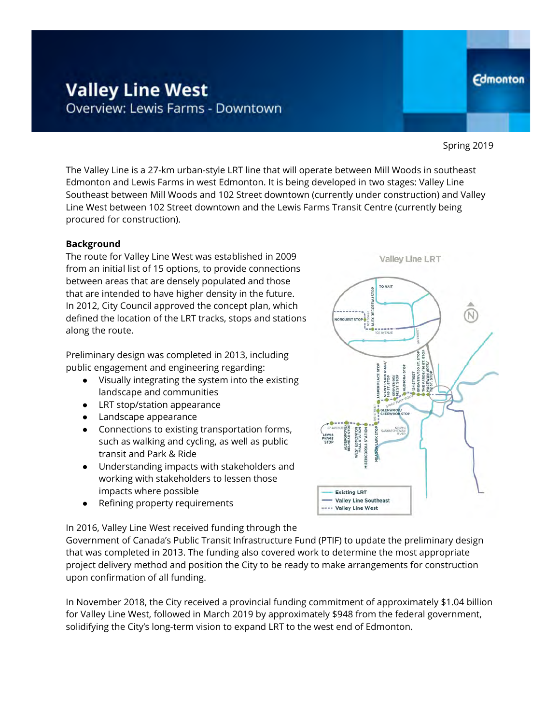# **Valley Line West** Overview: Lewis Farms - Downtown

Spring 2019

**Edmonton** 

The Valley Line is a 27-km urban-style LRT line that will operate between Mill Woods in southeast Edmonton and Lewis Farms in west Edmonton. It is being developed in two stages: Valley Line Southeast between Mill Woods and 102 Street downtown (currently under construction) and Valley Line West between 102 Street downtown and the Lewis Farms Transit Centre (currently being procured for construction).

#### **Background**

The route for Valley Line West was established in 2009 from an initial list of 15 options, to provide connections between areas that are densely populated and those that are intended to have higher density in the future. In 2012, City Council approved the concept plan, which defined the location of the LRT tracks, stops and stations along the route.

Preliminary design was completed in 2013, including public engagement and engineering regarding:

- Visually integrating the system into the existing landscape and communities
- LRT stop/station appearance
- Landscape appearance
- Connections to existing transportation forms, such as walking and cycling, as well as public transit and Park & Ride
- Understanding impacts with stakeholders and working with stakeholders to lessen those impacts where possible
- Refining property requirements

In 2016, Valley Line West received funding through the

Government of Canada's Public Transit Infrastructure Fund (PTIF) to update the preliminary design that was completed in 2013. The funding also covered work to determine the most appropriate project delivery method and position the City to be ready to make arrangements for construction upon confirmation of all funding.

In November 2018, the City received a provincial funding commitment of approximately \$1.04 billion for Valley Line West, followed in March 2019 by approximately \$948 from the federal government, solidifying the City's long-term vision to expand LRT to the west end of Edmonton.